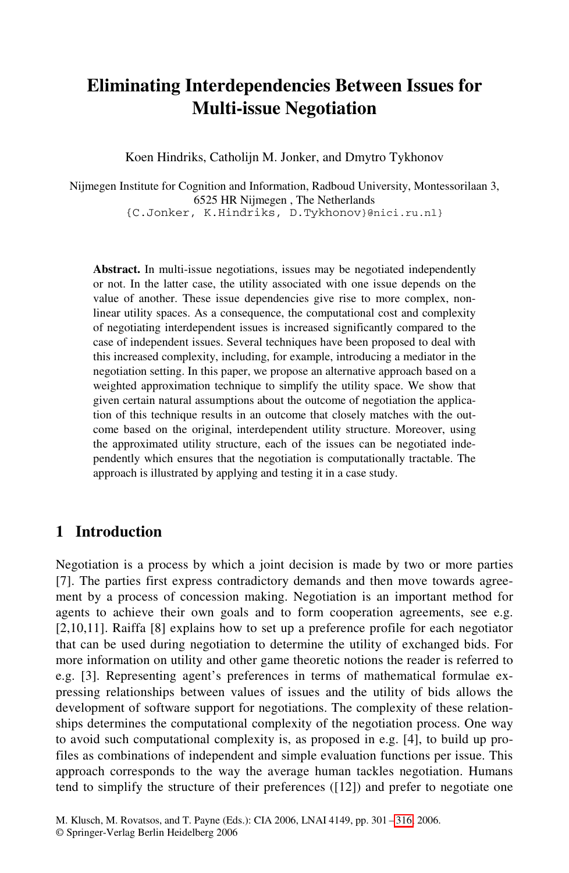# **Eliminating Interdependencies Between Issues for Multi-issue Negotiation**

Koen Hindriks, Catholijn M. Jonker, and Dmytro Tykhonov

Nijmegen Institute for Cognition and Information, Radboud University, Montessorilaan 3, 6525 HR Nijmegen , The Netherlands {C.Jonker, K.Hindriks, D.Tykhonov}@nici.ru.nl}

**Abstract.** In multi-issue negotiations, issues may be negotiated independently or not. In the latter case, the utility associated with one issue depends on the value of another. These issue dependencies give rise to more complex, nonlinear utility spaces. As a consequence, the computational cost and complexity of negotiating interdependent issues is increased significantly compared to the case of independent issues. Several techniques have been proposed to deal with this increased complexity, including, for example, introducing a mediator in the negotiation setting. In this paper, we propose an alternative approach based on a weighted approximation technique to simplify the utility space. We show that given certain natural assumptions about the outcome of negotiation the application of this technique results in an outcome that closely matches with the outcome based on the original, interdependent utility structure. Moreover, using the approximated utility structure, each of the issues can be negotiated independently which ensures that the negotiation is computationally tractable. The approach is illustrated by applying and testing it in a case study.

# **1 Introduction**

Negotiation is a process by which a joint decision is made by two or more parties [7]. The parties first express contradictory demands and then move towards agreement by a process of concession making. Negotiation is an important method for agents to achieve their own goals and to form cooperation agreements, see e.g. [2,10,11]. Raiffa [8] explains how to set up a preference profile for each negotiator that can be used during negotiation to determine the utility of exchanged bids. For more information on utility and other game theoretic notions the reader is referred to e.g. [3]. Representing agent's preferences in terms of mathematical formulae expressing relationships between values of [issu](#page-15-0)es and the utility of bids allows the development of software support for negotiations. The complexity of these relationships determines the computational complexity of the negotiation process. One way to avoid such computational complexity is, as proposed in e.g. [4], to build up profiles as combinations of independent and simple evaluation functions per issue. This approach corresponds to the way the average human tackles negotiation. Humans tend to simplify the structure of their preferences  $(12)$  and prefer to negotiate one

M. Klusch, M. Rovatsos, and T. Payne (Eds.): CIA 2006, LNAI 4149, pp. 301 – 316, 2006. © Springer-Verlag Berlin Heidelberg 2006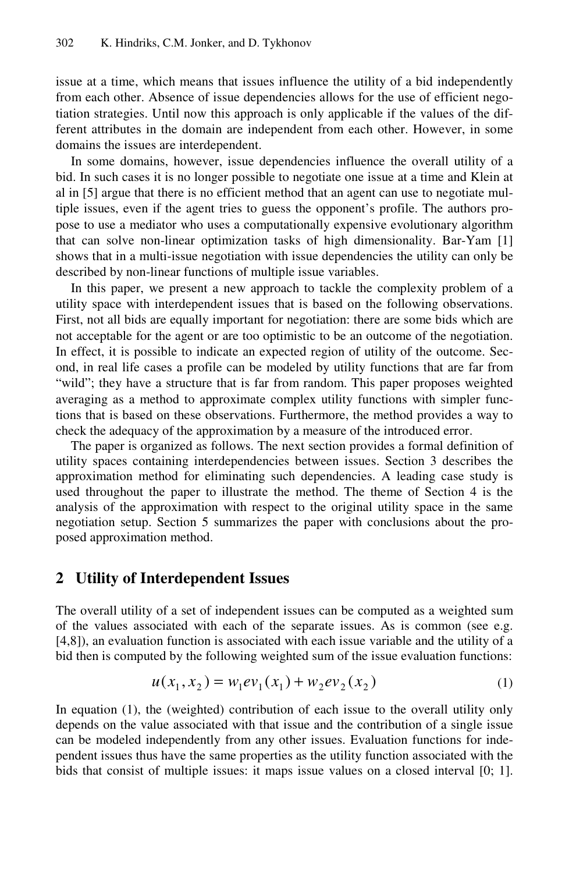issue at a time, which means that issues influence the utility of a bid independently from each other. Absence of issue dependencies allows for the use of efficient negotiation strategies. Until now this approach is only applicable if the values of the different attributes in the domain are independent from each other. However, in some domains the issues are interdependent.

In some domains, however, issue dependencies influence the overall utility of a bid. In such cases it is no longer possible to negotiate one issue at a time and Klein at al in [5] argue that there is no efficient method that an agent can use to negotiate multiple issues, even if the agent tries to guess the opponent's profile. The authors propose to use a mediator who uses a computationally expensive evolutionary algorithm that can solve non-linear optimization tasks of high dimensionality. Bar-Yam [1] shows that in a multi-issue negotiation with issue dependencies the utility can only be described by non-linear functions of multiple issue variables.

In this paper, we present a new approach to tackle the complexity problem of a utility space with interdependent issues that is based on the following observations. First, not all bids are equally important for negotiation: there are some bids which are not acceptable for the agent or are too optimistic to be an outcome of the negotiation. In effect, it is possible to indicate an expected region of utility of the outcome. Second, in real life cases a profile can be modeled by utility functions that are far from "wild"; they have a structure that is far from random. This paper proposes weighted averaging as a method to approximate complex utility functions with simpler functions that is based on these observations. Furthermore, the method provides a way to check the adequacy of the approximation by a measure of the introduced error.

The paper is organized as follows. The next section provides a formal definition of utility spaces containing interdependencies between issues. Section 3 describes the approximation method for eliminating such dependencies. A leading case study is used throughout the paper to illustrate the method. The theme of Section 4 is the analysis of the approximation with respect to the original utility space in the same negotiation setup. Section 5 summarizes the paper with conclusions about the proposed approximation method.

### **2 Utility of Interdependent Issues**

The overall utility of a set of independent issues can be computed as a weighted sum of the values associated with each of the separate issues. As is common (see e.g. [4,8]), an evaluation function is associated with each issue variable and the utility of a bid then is computed by the following weighted sum of the issue evaluation functions:

$$
u(x_1, x_2) = w_1 ev_1(x_1) + w_2 ev_2(x_2)
$$
 (1)

In equation (1), the (weighted) contribution of each issue to the overall utility only depends on the value associated with that issue and the contribution of a single issue can be modeled independently from any other issues. Evaluation functions for independent issues thus have the same properties as the utility function associated with the bids that consist of multiple issues: it maps issue values on a closed interval [0; 1].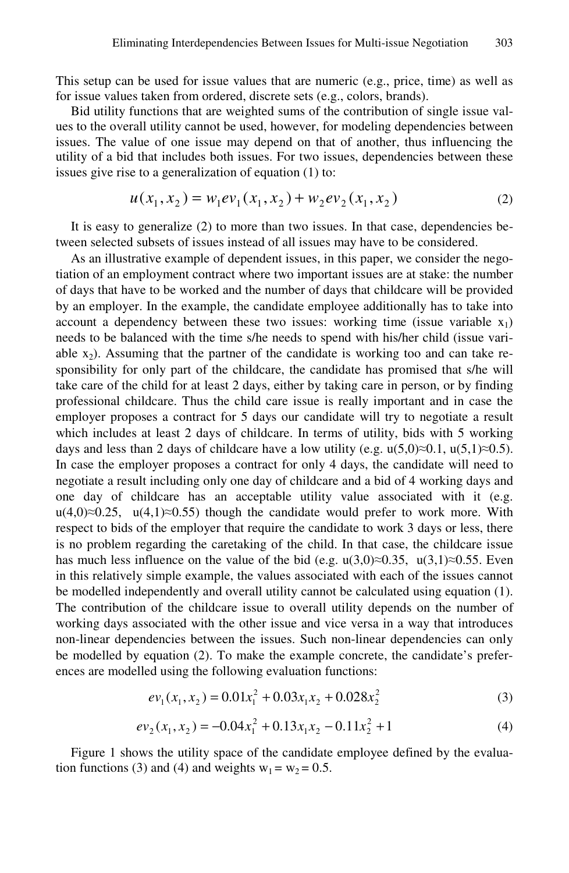This setup can be used for issue values that are numeric (e.g., price, time) as well as for issue values taken from ordered, discrete sets (e.g., colors, brands).

Bid utility functions that are weighted sums of the contribution of single issue values to the overall utility cannot be used, however, for modeling dependencies between issues. The value of one issue may depend on that of another, thus influencing the utility of a bid that includes both issues. For two issues, dependencies between these issues give rise to a generalization of equation (1) to:

$$
u(x_1, x_2) = w_1 e v_1(x_1, x_2) + w_2 e v_2(x_1, x_2)
$$
 (2)

It is easy to generalize (2) to more than two issues. In that case, dependencies between selected subsets of issues instead of all issues may have to be considered.

As an illustrative example of dependent issues, in this paper, we consider the negotiation of an employment contract where two important issues are at stake: the number of days that have to be worked and the number of days that childcare will be provided by an employer. In the example, the candidate employee additionally has to take into account a dependency between these two issues: working time (issue variable  $x_1$ ) needs to be balanced with the time s/he needs to spend with his/her child (issue variable  $x_2$ ). Assuming that the partner of the candidate is working too and can take responsibility for only part of the childcare, the candidate has promised that s/he will take care of the child for at least 2 days, either by taking care in person, or by finding professional childcare. Thus the child care issue is really important and in case the employer proposes a contract for 5 days our candidate will try to negotiate a result which includes at least 2 days of childcare. In terms of utility, bids with 5 working days and less than 2 days of childcare have a low utility (e.g.  $u(5,0) \approx 0.1$ ,  $u(5,1) \approx 0.5$ ). In case the employer proposes a contract for only 4 days, the candidate will need to negotiate a result including only one day of childcare and a bid of 4 working days and one day of childcare has an acceptable utility value associated with it (e.g. u(4,0)≈0.25, u(4,1)≈0.55) though the candidate would prefer to work more. With respect to bids of the employer that require the candidate to work 3 days or less, there is no problem regarding the caretaking of the child. In that case, the childcare issue has much less influence on the value of the bid (e.g. u(3,0)≈0.35, u(3,1)≈0.55. Even in this relatively simple example, the values associated with each of the issues cannot be modelled independently and overall utility cannot be calculated using equation (1). The contribution of the childcare issue to overall utility depends on the number of working days associated with the other issue and vice versa in a way that introduces non-linear dependencies between the issues. Such non-linear dependencies can only be modelled by equation (2). To make the example concrete, the candidate's preferences are modelled using the following evaluation functions:

$$
ev_1(x_1, x_2) = 0.01x_1^2 + 0.03x_1x_2 + 0.028x_2^2
$$
 (3)

$$
ev_2(x_1, x_2) = -0.04x_1^2 + 0.13x_1x_2 - 0.11x_2^2 + 1
$$
 (4)

Figure 1 shows the utility space of the candidate employee defined by the evaluation functions (3) and (4) and weights  $w_1 = w_2 = 0.5$ .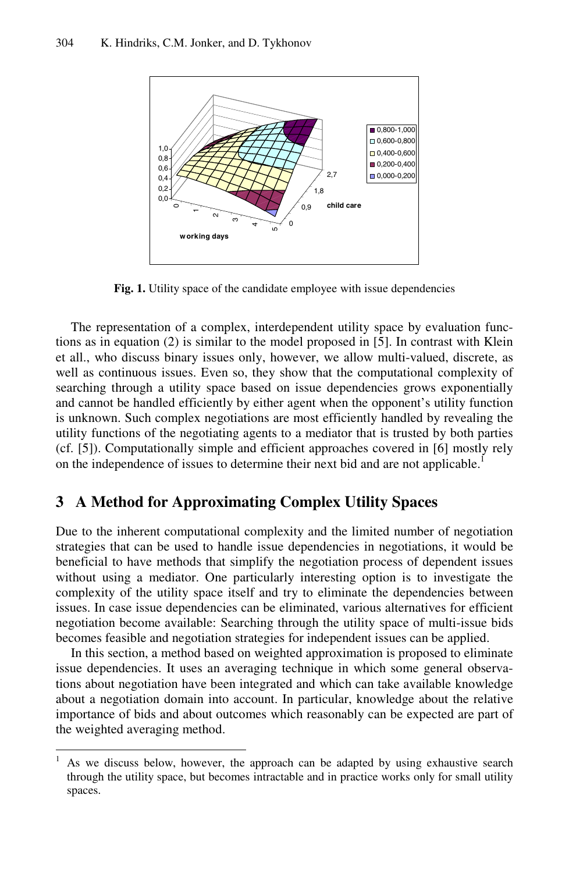

Fig. 1. Utility space of the candidate employee with issue dependencies

The representation of a complex, interdependent utility space by evaluation functions as in equation (2) is similar to the model proposed in [5]. In contrast with Klein et all., who discuss binary issues only, however, we allow multi-valued, discrete, as well as continuous issues. Even so, they show that the computational complexity of searching through a utility space based on issue dependencies grows exponentially and cannot be handled efficiently by either agent when the opponent's utility function is unknown. Such complex negotiations are most efficiently handled by revealing the utility functions of the negotiating agents to a mediator that is trusted by both parties (cf. [5]). Computationally simple and efficient approaches covered in [6] mostly rely on the independence of issues to determine their next bid and are not applicable.<sup>1</sup>

# **3 A Method for Approximating Complex Utility Spaces**

Due to the inherent computational complexity and the limited number of negotiation strategies that can be used to handle issue dependencies in negotiations, it would be beneficial to have methods that simplify the negotiation process of dependent issues without using a mediator. One particularly interesting option is to investigate the complexity of the utility space itself and try to eliminate the dependencies between issues. In case issue dependencies can be eliminated, various alternatives for efficient negotiation become available: Searching through the utility space of multi-issue bids becomes feasible and negotiation strategies for independent issues can be applied.

In this section, a method based on weighted approximation is proposed to eliminate issue dependencies. It uses an averaging technique in which some general observations about negotiation have been integrated and which can take available knowledge about a negotiation domain into account. In particular, knowledge about the relative importance of bids and about outcomes which reasonably can be expected are part of the weighted averaging method.

l

<sup>1</sup> As we discuss below, however, the approach can be adapted by using exhaustive search through the utility space, but becomes intractable and in practice works only for small utility spaces.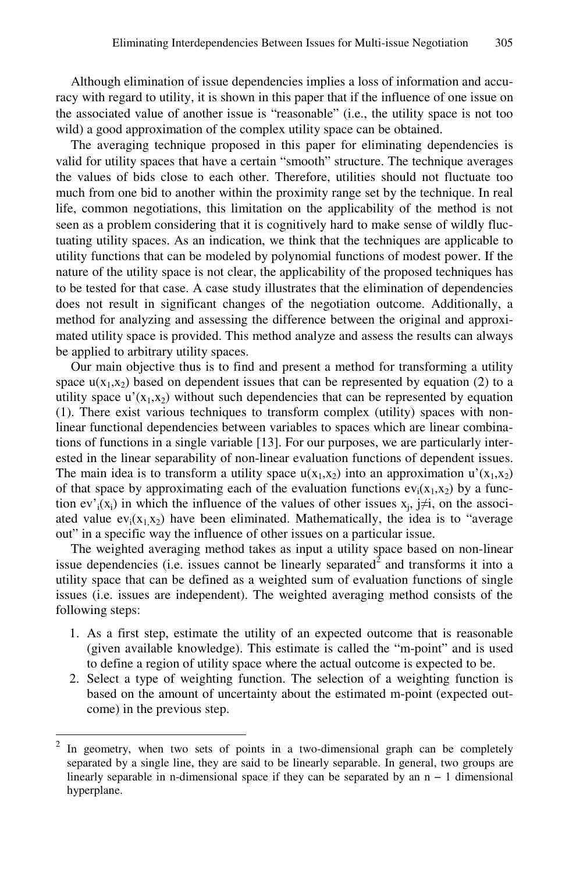Although elimination of issue dependencies implies a loss of information and accuracy with regard to utility, it is shown in this paper that if the influence of one issue on the associated value of another issue is "reasonable" (i.e., the utility space is not too wild) a good approximation of the complex utility space can be obtained.

The averaging technique proposed in this paper for eliminating dependencies is valid for utility spaces that have a certain "smooth" structure. The technique averages the values of bids close to each other. Therefore, utilities should not fluctuate too much from one bid to another within the proximity range set by the technique. In real life, common negotiations, this limitation on the applicability of the method is not seen as a problem considering that it is cognitively hard to make sense of wildly fluctuating utility spaces. As an indication, we think that the techniques are applicable to utility functions that can be modeled by polynomial functions of modest power. If the nature of the utility space is not clear, the applicability of the proposed techniques has to be tested for that case. A case study illustrates that the elimination of dependencies does not result in significant changes of the negotiation outcome. Additionally, a method for analyzing and assessing the difference between the original and approximated utility space is provided. This method analyze and assess the results can always be applied to arbitrary utility spaces.

Our main objective thus is to find and present a method for transforming a utility space  $u(x_1,x_2)$  based on dependent issues that can be represented by equation (2) to a utility space  $u'(x_1,x_2)$  without such dependencies that can be represented by equation (1). There exist various techniques to transform complex (utility) spaces with nonlinear functional dependencies between variables to spaces which are linear combinations of functions in a single variable [13]. For our purposes, we are particularly interested in the linear separability of non-linear evaluation functions of dependent issues. The main idea is to transform a utility space  $u(x_1,x_2)$  into an approximation  $u'(x_1,x_2)$ of that space by approximating each of the evaluation functions  $ev_i(x_1,x_2)$  by a function ev'<sub>i</sub>(x<sub>i</sub>) in which the influence of the values of other issues x<sub>i</sub>, j≠i, on the associated value  $ev_i(x_1,x_2)$  have been eliminated. Mathematically, the idea is to "average out" in a specific way the influence of other issues on a particular issue.

The weighted averaging method takes as input a utility space based on non-linear issue dependencies (i.e. issues cannot be linearly separated<sup>2</sup> and transforms it into a utility space that can be defined as a weighted sum of evaluation functions of single issues (i.e. issues are independent). The weighted averaging method consists of the following steps:

- 1. As a first step, estimate the utility of an expected outcome that is reasonable (given available knowledge). This estimate is called the "m-point" and is used to define a region of utility space where the actual outcome is expected to be.
- 2. Select a type of weighting function. The selection of a weighting function is based on the amount of uncertainty about the estimated m-point (expected outcome) in the previous step.

-

In geometry, when two sets of points in a two-dimensional graph can be completely separated by a single line, they are said to be linearly separable. In general, two groups are linearly separable in n-dimensional space if they can be separated by an  $n - 1$  dimensional hyperplane.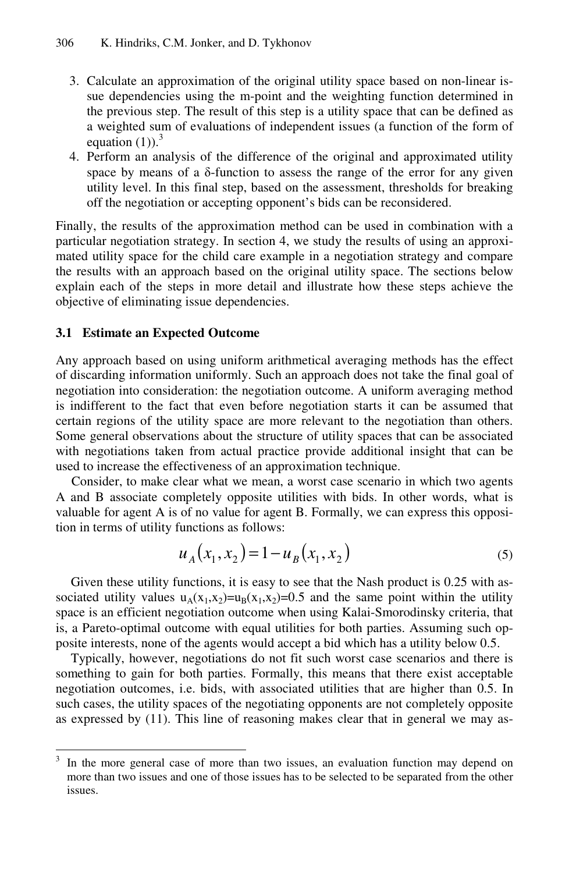- 3. Calculate an approximation of the original utility space based on non-linear issue dependencies using the m-point and the weighting function determined in the previous step. The result of this step is a utility space that can be defined as a weighted sum of evaluations of independent issues (a function of the form of equation  $(1)$ ).<sup>3</sup>
- 4. Perform an analysis of the difference of the original and approximated utility space by means of a δ-function to assess the range of the error for any given utility level. In this final step, based on the assessment, thresholds for breaking off the negotiation or accepting opponent's bids can be reconsidered.

Finally, the results of the approximation method can be used in combination with a particular negotiation strategy. In section 4, we study the results of using an approximated utility space for the child care example in a negotiation strategy and compare the results with an approach based on the original utility space. The sections below explain each of the steps in more detail and illustrate how these steps achieve the objective of eliminating issue dependencies.

### **3.1 Estimate an Expected Outcome**

Any approach based on using uniform arithmetical averaging methods has the effect of discarding information uniformly. Such an approach does not take the final goal of negotiation into consideration: the negotiation outcome. A uniform averaging method is indifferent to the fact that even before negotiation starts it can be assumed that certain regions of the utility space are more relevant to the negotiation than others. Some general observations about the structure of utility spaces that can be associated with negotiations taken from actual practice provide additional insight that can be used to increase the effectiveness of an approximation technique.

Consider, to make clear what we mean, a worst case scenario in which two agents A and B associate completely opposite utilities with bids. In other words, what is valuable for agent A is of no value for agent B. Formally, we can express this opposition in terms of utility functions as follows:

$$
u_A(x_1, x_2) = 1 - u_B(x_1, x_2)
$$
\n(5)

Given these utility functions, it is easy to see that the Nash product is 0.25 with associated utility values  $u_A(x_1,x_2)=u_B(x_1,x_2)=0.5$  and the same point within the utility space is an efficient negotiation outcome when using Kalai-Smorodinsky criteria, that is, a Pareto-optimal outcome with equal utilities for both parties. Assuming such opposite interests, none of the agents would accept a bid which has a utility below 0.5.

Typically, however, negotiations do not fit such worst case scenarios and there is something to gain for both parties. Formally, this means that there exist acceptable negotiation outcomes, i.e. bids, with associated utilities that are higher than 0.5. In such cases, the utility spaces of the negotiating opponents are not completely opposite as expressed by (11). This line of reasoning makes clear that in general we may as-

 3 In the more general case of more than two issues, an evaluation function may depend on more than two issues and one of those issues has to be selected to be separated from the other issues.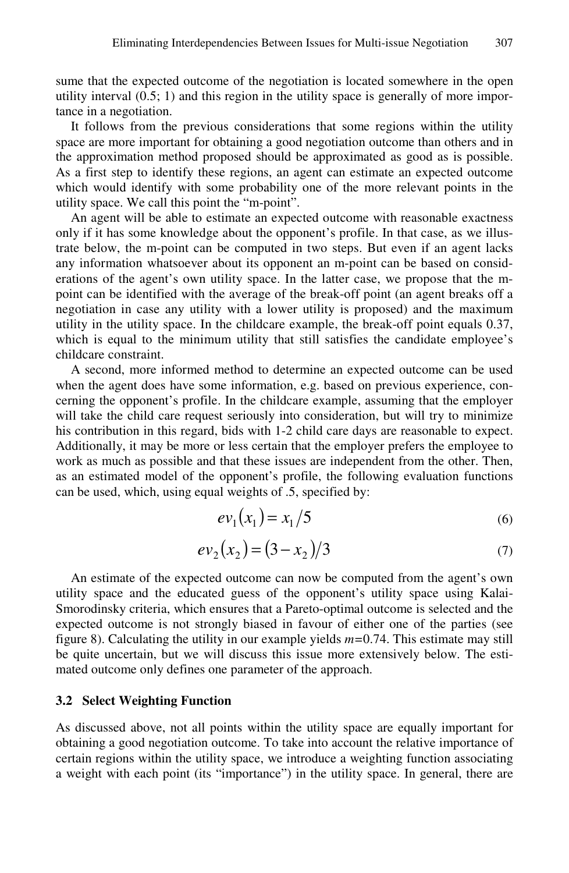sume that the expected outcome of the negotiation is located somewhere in the open utility interval (0.5; 1) and this region in the utility space is generally of more importance in a negotiation.

It follows from the previous considerations that some regions within the utility space are more important for obtaining a good negotiation outcome than others and in the approximation method proposed should be approximated as good as is possible. As a first step to identify these regions, an agent can estimate an expected outcome which would identify with some probability one of the more relevant points in the utility space. We call this point the "m-point".

An agent will be able to estimate an expected outcome with reasonable exactness only if it has some knowledge about the opponent's profile. In that case, as we illustrate below, the m-point can be computed in two steps. But even if an agent lacks any information whatsoever about its opponent an m-point can be based on considerations of the agent's own utility space. In the latter case, we propose that the mpoint can be identified with the average of the break-off point (an agent breaks off a negotiation in case any utility with a lower utility is proposed) and the maximum utility in the utility space. In the childcare example, the break-off point equals 0.37, which is equal to the minimum utility that still satisfies the candidate employee's childcare constraint.

A second, more informed method to determine an expected outcome can be used when the agent does have some information, e.g. based on previous experience, concerning the opponent's profile. In the childcare example, assuming that the employer will take the child care request seriously into consideration, but will try to minimize his contribution in this regard, bids with 1-2 child care days are reasonable to expect. Additionally, it may be more or less certain that the employer prefers the employee to work as much as possible and that these issues are independent from the other. Then, as an estimated model of the opponent's profile, the following evaluation functions can be used, which, using equal weights of .5, specified by:

$$
ev_1(x_1) = x_1/5
$$
 (6)

$$
ev_2(x_2) = (3 - x_2)/3 \tag{7}
$$

An estimate of the expected outcome can now be computed from the agent's own utility space and the educated guess of the opponent's utility space using Kalai-Smorodinsky criteria, which ensures that a Pareto-optimal outcome is selected and the expected outcome is not strongly biased in favour of either one of the parties (see figure 8). Calculating the utility in our example yields *m=*0.74. This estimate may still be quite uncertain, but we will discuss this issue more extensively below. The estimated outcome only defines one parameter of the approach.

#### **3.2 Select Weighting Function**

As discussed above, not all points within the utility space are equally important for obtaining a good negotiation outcome. To take into account the relative importance of certain regions within the utility space, we introduce a weighting function associating a weight with each point (its "importance") in the utility space. In general, there are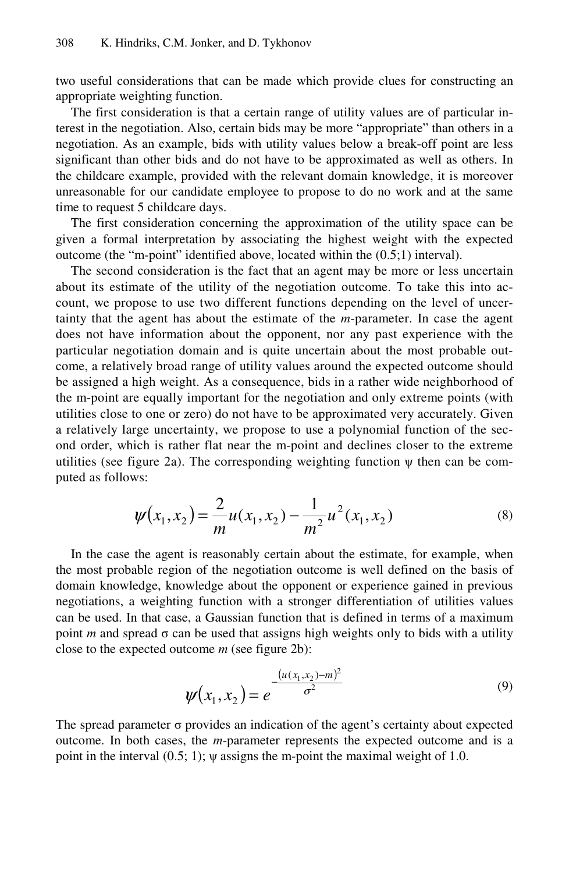two useful considerations that can be made which provide clues for constructing an appropriate weighting function.

The first consideration is that a certain range of utility values are of particular interest in the negotiation. Also, certain bids may be more "appropriate" than others in a negotiation. As an example, bids with utility values below a break-off point are less significant than other bids and do not have to be approximated as well as others. In the childcare example, provided with the relevant domain knowledge, it is moreover unreasonable for our candidate employee to propose to do no work and at the same time to request 5 childcare days.

The first consideration concerning the approximation of the utility space can be given a formal interpretation by associating the highest weight with the expected outcome (the "m-point" identified above, located within the (0.5;1) interval).

The second consideration is the fact that an agent may be more or less uncertain about its estimate of the utility of the negotiation outcome. To take this into account, we propose to use two different functions depending on the level of uncertainty that the agent has about the estimate of the *m*-parameter. In case the agent does not have information about the opponent, nor any past experience with the particular negotiation domain and is quite uncertain about the most probable outcome, a relatively broad range of utility values around the expected outcome should be assigned a high weight. As a consequence, bids in a rather wide neighborhood of the m-point are equally important for the negotiation and only extreme points (with utilities close to one or zero) do not have to be approximated very accurately. Given a relatively large uncertainty, we propose to use a polynomial function of the second order, which is rather flat near the m-point and declines closer to the extreme utilities (see figure 2a). The corresponding weighting function  $\psi$  then can be computed as follows:

$$
\psi(x_1, x_2) = \frac{2}{m} u(x_1, x_2) - \frac{1}{m^2} u^2(x_1, x_2)
$$
\n(8)

In the case the agent is reasonably certain about the estimate, for example, when the most probable region of the negotiation outcome is well defined on the basis of domain knowledge, knowledge about the opponent or experience gained in previous negotiations, a weighting function with a stronger differentiation of utilities values can be used. In that case, a Gaussian function that is defined in terms of a maximum point *m* and spread σ can be used that assigns high weights only to bids with a utility close to the expected outcome *m* (see figure 2b):

$$
\psi(x_1, x_2) = e^{-\frac{(u(x_1, x_2) - m)^2}{\sigma^2}}
$$
\n(9)

The spread parameter  $\sigma$  provides an indication of the agent's certainty about expected outcome. In both cases, the *m*-parameter represents the expected outcome and is a point in the interval  $(0.5; 1)$ ;  $\psi$  assigns the m-point the maximal weight of 1.0.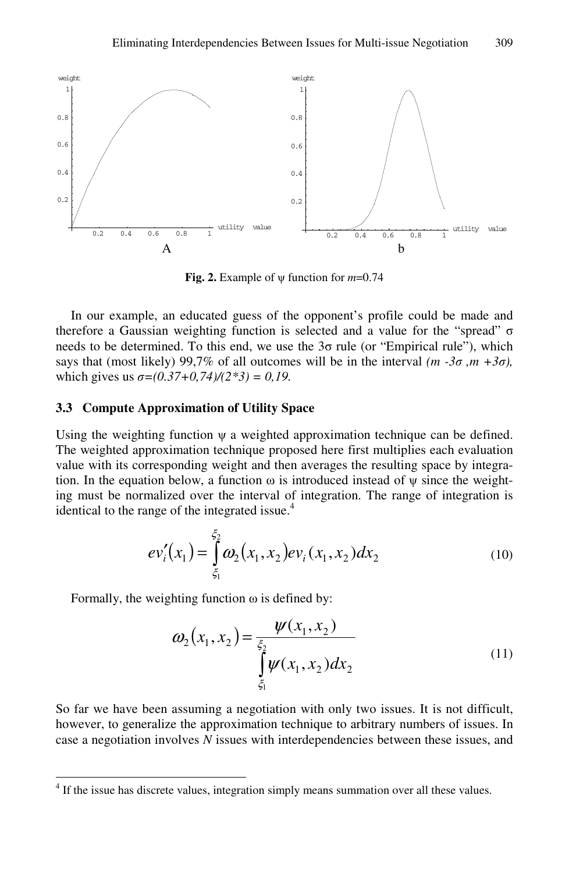

**Fig. 2.** Example of ψ function for *m*=0.74

In our example, an educated guess of the opponent's profile could be made and therefore a Gaussian weighting function is selected and a value for the "spread"  $\sigma$ needs to be determined. To this end, we use the  $3\sigma$  rule (or "Empirical rule"), which says that (most likely) 99,7% of all outcomes will be in the interval  $(m -3\sigma, m +3\sigma)$ , which gives us  $\sigma = (0.37 + 0.74)/(2 \times 3) = 0.19$ .

#### **3.3 Compute Approximation of Utility Space**

Using the weighting function  $\psi$  a weighted approximation technique can be defined. The weighted approximation technique proposed here first multiplies each evaluation value with its corresponding weight and then averages the resulting space by integration. In the equation below, a function  $\omega$  is introduced instead of  $\psi$  since the weighting must be normalized over the interval of integration. The range of integration is identical to the range of the integrated issue.<sup>4</sup>

$$
ev_i'(x_1) = \int_{\xi_1}^{\xi_2} \omega_2(x_1, x_2) ev_i(x_1, x_2) dx_2 \tag{10}
$$

Formally, the weighting function  $\omega$  is defined by:

l

$$
\omega_2(x_1, x_2) = \frac{\psi(x_1, x_2)}{\int_{\xi_1}^{\xi_2} \psi(x_1, x_2) dx_2}
$$
\n(11)

So far we have been assuming a negotiation with only two issues. It is not difficult, however, to generalize the approximation technique to arbitrary numbers of issues. In case a negotiation involves *N* issues with interdependencies between these issues, and

<sup>&</sup>lt;sup>4</sup> If the issue has discrete values, integration simply means summation over all these values.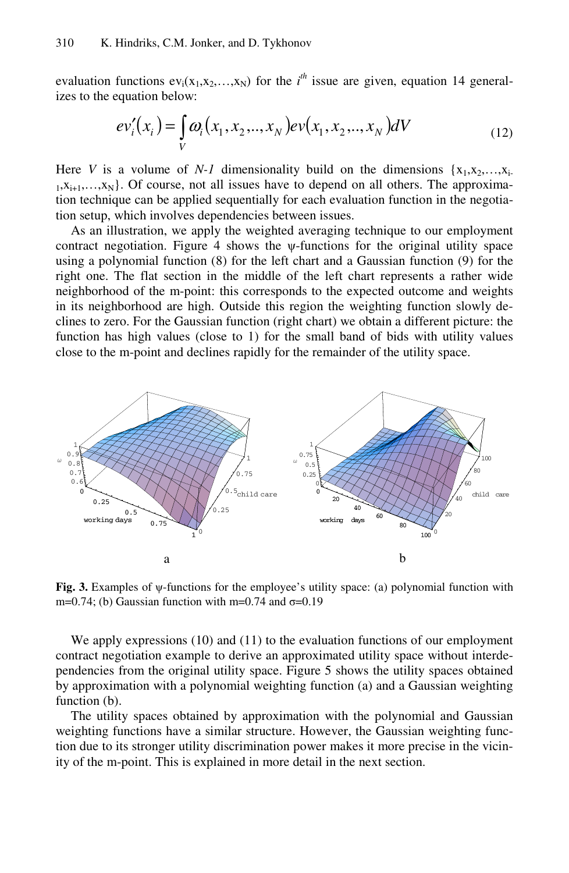evaluation functions  $ev_i(x_1, x_2, \ldots, x_N)$  for the *i*<sup>th</sup> issue are given, equation 14 generalizes to the equation below:

$$
ev'_{i}(x_{i}) = \int_{V} \omega_{i}(x_{1}, x_{2},..., x_{N}) ev(x_{1}, x_{2},..., x_{N}) dV
$$
\n(12)

Here *V* is a volume of *N-1* dimensionality build on the dimensions  $\{x_1, x_2, \ldots, x_i\}$  $1, x_{i+1},...,x_N$ . Of course, not all issues have to depend on all others. The approximation technique can be applied sequentially for each evaluation function in the negotiation setup, which involves dependencies between issues.

As an illustration, we apply the weighted averaging technique to our employment contract negotiation. Figure 4 shows the  $\psi$ -functions for the original utility space using a polynomial function (8) for the left chart and a Gaussian function (9) for the right one. The flat section in the middle of the left chart represents a rather wide neighborhood of the m-point: this corresponds to the expected outcome and weights in its neighborhood are high. Outside this region the weighting function slowly declines to zero. For the Gaussian function (right chart) we obtain a different picture: the function has high values (close to 1) for the small band of bids with utility values close to the m-point and declines rapidly for the remainder of the utility space.



**Fig. 3.** Examples of ψ-functions for the employee's utility space: (a) polynomial function with m=0.74; (b) Gaussian function with m=0.74 and  $\sigma$ =0.19

We apply expressions (10) and (11) to the evaluation functions of our employment contract negotiation example to derive an approximated utility space without interdependencies from the original utility space. Figure 5 shows the utility spaces obtained by approximation with a polynomial weighting function (a) and a Gaussian weighting function (b).

The utility spaces obtained by approximation with the polynomial and Gaussian weighting functions have a similar structure. However, the Gaussian weighting function due to its stronger utility discrimination power makes it more precise in the vicinity of the m-point. This is explained in more detail in the next section.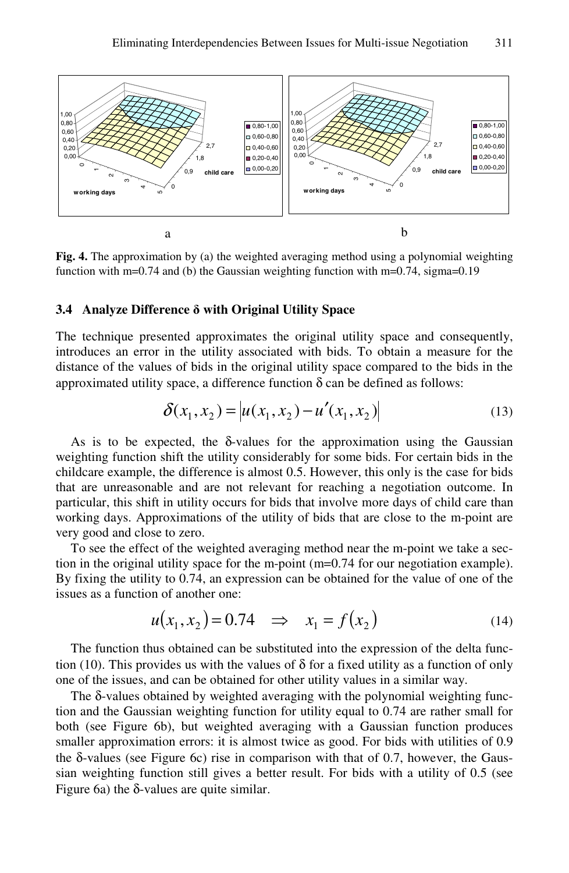

**Fig. 4.** The approximation by (a) the weighted averaging method using a polynomial weighting function with m=0.74 and (b) the Gaussian weighting function with m=0.74, sigma=0.19

#### **3.4 Analyze Difference δ with Original Utility Space**

The technique presented approximates the original utility space and consequently, introduces an error in the utility associated with bids. To obtain a measure for the distance of the values of bids in the original utility space compared to the bids in the approximated utility space, a difference function δ can be defined as follows:

$$
\delta(x_1, x_2) = |u(x_1, x_2) - u'(x_1, x_2)| \tag{13}
$$

As is to be expected, the  $\delta$ -values for the approximation using the Gaussian weighting function shift the utility considerably for some bids. For certain bids in the childcare example, the difference is almost 0.5. However, this only is the case for bids that are unreasonable and are not relevant for reaching a negotiation outcome. In particular, this shift in utility occurs for bids that involve more days of child care than working days. Approximations of the utility of bids that are close to the m-point are very good and close to zero.

To see the effect of the weighted averaging method near the m-point we take a section in the original utility space for the m-point (m=0.74 for our negotiation example). By fixing the utility to 0.74, an expression can be obtained for the value of one of the issues as a function of another one:

$$
u(x_1, x_2) = 0.74 \implies x_1 = f(x_2) \tag{14}
$$

The function thus obtained can be substituted into the expression of the delta function (10). This provides us with the values of  $\delta$  for a fixed utility as a function of only one of the issues, and can be obtained for other utility values in a similar way.

The δ-values obtained by weighted averaging with the polynomial weighting function and the Gaussian weighting function for utility equal to 0.74 are rather small for both (see Figure 6b), but weighted averaging with a Gaussian function produces smaller approximation errors: it is almost twice as good. For bids with utilities of 0.9 the δ-values (see Figure 6c) rise in comparison with that of 0.7, however, the Gaussian weighting function still gives a better result. For bids with a utility of 0.5 (see Figure 6a) the  $δ$ -values are quite similar.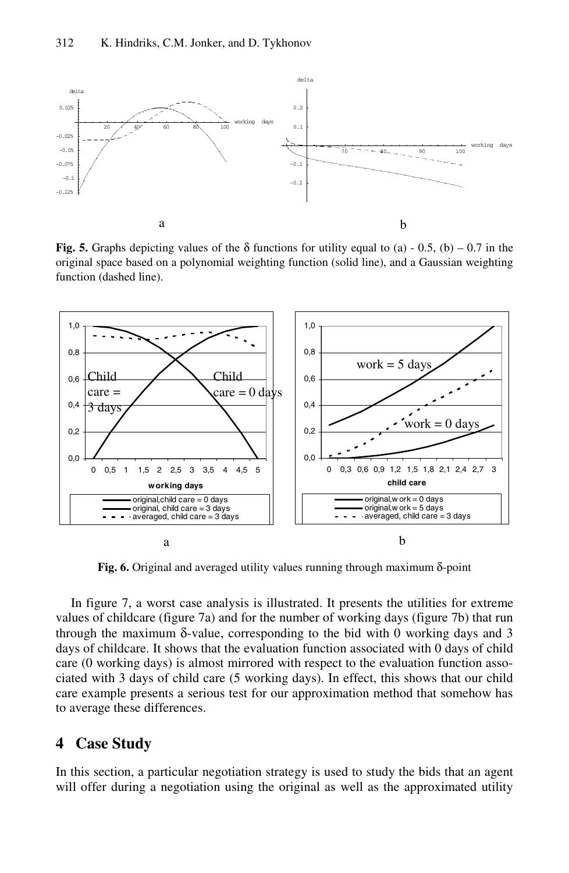

**Fig. 5.** Graphs depicting values of the  $\delta$  functions for utility equal to (a) - 0.5, (b) – 0.7 in the original space based on a polynomial weighting function (solid line), and a Gaussian weighting function (dashed line).



**Fig. 6.** Original and averaged utility values running through maximum δ-point

In figure 7, a worst case analysis is illustrated. It presents the utilities for extreme values of childcare (figure 7a) and for the number of working days (figure 7b) that run through the maximum  $\delta$ -value, corresponding to the bid with 0 working days and 3 days of childcare. It shows that the evaluation function associated with 0 days of child care (0 working days) is almost mirrored with respect to the evaluation function associated with 3 days of child care (5 working days). In effect, this shows that our child care example presents a serious test for our approximation method that somehow has to average these differences.

# **4 Case Study**

In this section, a particular negotiation strategy is used to study the bids that an agent will offer during a negotiation using the original as well as the approximated utility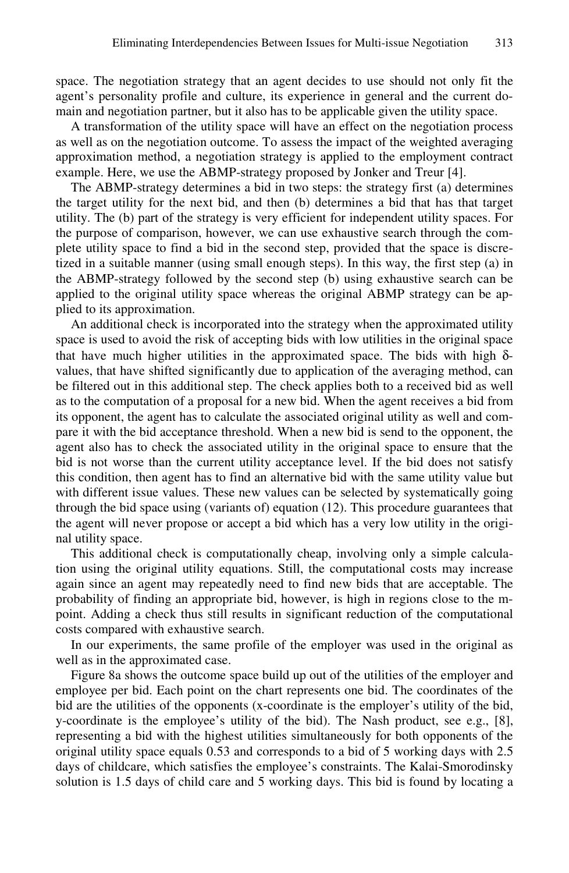space. The negotiation strategy that an agent decides to use should not only fit the agent's personality profile and culture, its experience in general and the current domain and negotiation partner, but it also has to be applicable given the utility space.

A transformation of the utility space will have an effect on the negotiation process as well as on the negotiation outcome. To assess the impact of the weighted averaging approximation method, a negotiation strategy is applied to the employment contract example. Here, we use the ABMP-strategy proposed by Jonker and Treur [4].

The ABMP-strategy determines a bid in two steps: the strategy first (a) determines the target utility for the next bid, and then (b) determines a bid that has that target utility. The (b) part of the strategy is very efficient for independent utility spaces. For the purpose of comparison, however, we can use exhaustive search through the complete utility space to find a bid in the second step, provided that the space is discretized in a suitable manner (using small enough steps). In this way, the first step (a) in the ABMP-strategy followed by the second step (b) using exhaustive search can be applied to the original utility space whereas the original ABMP strategy can be applied to its approximation.

An additional check is incorporated into the strategy when the approximated utility space is used to avoid the risk of accepting bids with low utilities in the original space that have much higher utilities in the approximated space. The bids with high  $\delta$ values, that have shifted significantly due to application of the averaging method, can be filtered out in this additional step. The check applies both to a received bid as well as to the computation of a proposal for a new bid. When the agent receives a bid from its opponent, the agent has to calculate the associated original utility as well and compare it with the bid acceptance threshold. When a new bid is send to the opponent, the agent also has to check the associated utility in the original space to ensure that the bid is not worse than the current utility acceptance level. If the bid does not satisfy this condition, then agent has to find an alternative bid with the same utility value but with different issue values. These new values can be selected by systematically going through the bid space using (variants of) equation (12). This procedure guarantees that the agent will never propose or accept a bid which has a very low utility in the original utility space.

This additional check is computationally cheap, involving only a simple calculation using the original utility equations. Still, the computational costs may increase again since an agent may repeatedly need to find new bids that are acceptable. The probability of finding an appropriate bid, however, is high in regions close to the mpoint. Adding a check thus still results in significant reduction of the computational costs compared with exhaustive search.

In our experiments, the same profile of the employer was used in the original as well as in the approximated case.

Figure 8a shows the outcome space build up out of the utilities of the employer and employee per bid. Each point on the chart represents one bid. The coordinates of the bid are the utilities of the opponents (x-coordinate is the employer's utility of the bid, y-coordinate is the employee's utility of the bid). The Nash product, see e.g., [8], representing a bid with the highest utilities simultaneously for both opponents of the original utility space equals 0.53 and corresponds to a bid of 5 working days with 2.5 days of childcare, which satisfies the employee's constraints. The Kalai-Smorodinsky solution is 1.5 days of child care and 5 working days. This bid is found by locating a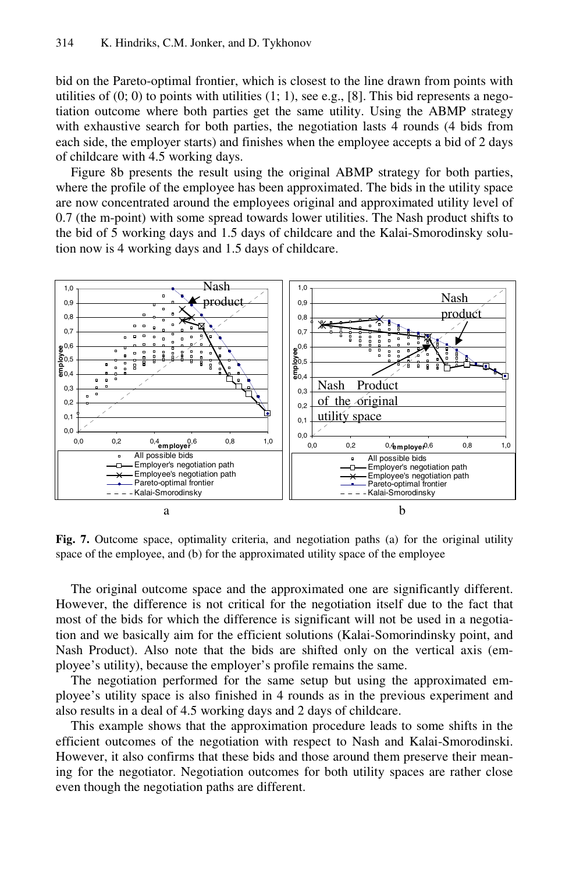bid on the Pareto-optimal frontier, which is closest to the line drawn from points with utilities of  $(0; 0)$  to points with utilities  $(1; 1)$ , see e.g., [8]. This bid represents a negotiation outcome where both parties get the same utility. Using the ABMP strategy with exhaustive search for both parties, the negotiation lasts 4 rounds (4 bids from each side, the employer starts) and finishes when the employee accepts a bid of 2 days of childcare with 4.5 working days.

Figure 8b presents the result using the original ABMP strategy for both parties, where the profile of the employee has been approximated. The bids in the utility space are now concentrated around the employees original and approximated utility level of 0.7 (the m-point) with some spread towards lower utilities. The Nash product shifts to the bid of 5 working days and 1.5 days of childcare and the Kalai-Smorodinsky solution now is 4 working days and 1.5 days of childcare.



**Fig. 7.** Outcome space, optimality criteria, and negotiation paths (a) for the original utility space of the employee, and (b) for the approximated utility space of the employee

The original outcome space and the approximated one are significantly different. However, the difference is not critical for the negotiation itself due to the fact that most of the bids for which the difference is significant will not be used in a negotiation and we basically aim for the efficient solutions (Kalai-Somorindinsky point, and Nash Product). Also note that the bids are shifted only on the vertical axis (employee's utility), because the employer's profile remains the same.

The negotiation performed for the same setup but using the approximated employee's utility space is also finished in 4 rounds as in the previous experiment and also results in a deal of 4.5 working days and 2 days of childcare.

This example shows that the approximation procedure leads to some shifts in the efficient outcomes of the negotiation with respect to Nash and Kalai-Smorodinski. However, it also confirms that these bids and those around them preserve their meaning for the negotiator. Negotiation outcomes for both utility spaces are rather close even though the negotiation paths are different.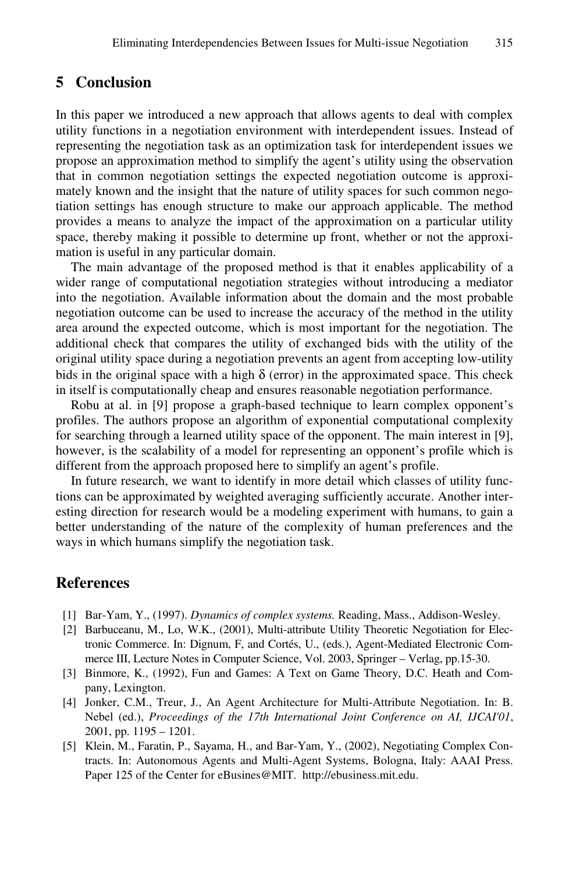# **5 Conclusion**

In this paper we introduced a new approach that allows agents to deal with complex utility functions in a negotiation environment with interdependent issues. Instead of representing the negotiation task as an optimization task for interdependent issues we propose an approximation method to simplify the agent's utility using the observation that in common negotiation settings the expected negotiation outcome is approximately known and the insight that the nature of utility spaces for such common negotiation settings has enough structure to make our approach applicable. The method provides a means to analyze the impact of the approximation on a particular utility space, thereby making it possible to determine up front, whether or not the approximation is useful in any particular domain.

The main advantage of the proposed method is that it enables applicability of a wider range of computational negotiation strategies without introducing a mediator into the negotiation. Available information about the domain and the most probable negotiation outcome can be used to increase the accuracy of the method in the utility area around the expected outcome, which is most important for the negotiation. The additional check that compares the utility of exchanged bids with the utility of the original utility space during a negotiation prevents an agent from accepting low-utility bids in the original space with a high  $\delta$  (error) in the approximated space. This check in itself is computationally cheap and ensures reasonable negotiation performance.

Robu at al. in [9] propose a graph-based technique to learn complex opponent's profiles. The authors propose an algorithm of exponential computational complexity for searching through a learned utility space of the opponent. The main interest in [9], however, is the scalability of a model for representing an opponent's profile which is different from the approach proposed here to simplify an agent's profile.

In future research, we want to identify in more detail which classes of utility functions can be approximated by weighted averaging sufficiently accurate. Another interesting direction for research would be a modeling experiment with humans, to gain a better understanding of the nature of the complexity of human preferences and the ways in which humans simplify the negotiation task.

## **References**

- [1] Bar-Yam, Y., (1997). *Dynamics of complex systems.* Reading, Mass., Addison-Wesley.
- [2] Barbuceanu, M., Lo, W.K., (2001), Multi-attribute Utility Theoretic Negotiation for Electronic Commerce. In: Dignum, F, and Cortés, U., (eds.), Agent-Mediated Electronic Commerce III, Lecture Notes in Computer Science, Vol. 2003, Springer – Verlag, pp.15-30.
- [3] Binmore, K., (1992), Fun and Games: A Text on Game Theory, D.C. Heath and Company, Lexington.
- [4] Jonker, C.M., Treur, J., An Agent Architecture for Multi-Attribute Negotiation. In: B. Nebel (ed.), *Proceedings of the 17th International Joint Conference on AI, IJCAI'01*, 2001, pp. 1195 – 1201.
- [5] Klein, M., Faratin, P., Sayama, H., and Bar-Yam, Y., (2002), Negotiating Complex Contracts. In: Autonomous Agents and Multi-Agent Systems, Bologna, Italy: AAAI Press. Paper 125 of the Center for eBusines@MIT. http://ebusiness.mit.edu.